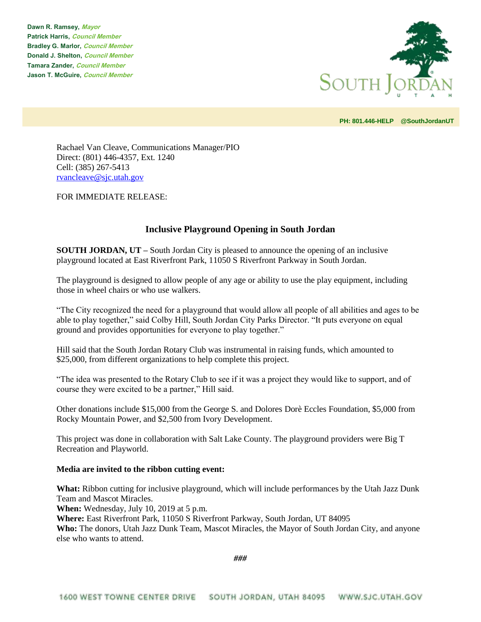**Dawn R. Ramsey, Mayor Patrick Harris, Council Member Bradley G. Marlor, Council Member Donald J. Shelton, Council Member Tamara Zander, Council Member Jason T. McGuire, Council Member**



**PH: 801.446-HELP @SouthJordanUT** 

Rachael Van Cleave, Communications Manager/PIO Direct: (801) 446-4357, Ext. 1240 Cell: (385) 267-5413 [rvancleave@sjc.utah.gov](mailto:rvancleave@sjc.utah.gov)

FOR IMMEDIATE RELEASE:

## **Inclusive Playground Opening in South Jordan**

**SOUTH JORDAN, UT –** South Jordan City is pleased to announce the opening of an inclusive playground located at East Riverfront Park, 11050 S Riverfront Parkway in South Jordan.

The playground is designed to allow people of any age or ability to use the play equipment, including those in wheel chairs or who use walkers.

"The City recognized the need for a playground that would allow all people of all abilities and ages to be able to play together," said Colby Hill, South Jordan City Parks Director. "It puts everyone on equal ground and provides opportunities for everyone to play together."

Hill said that the South Jordan Rotary Club was instrumental in raising funds, which amounted to \$25,000, from different organizations to help complete this project.

"The idea was presented to the Rotary Club to see if it was a project they would like to support, and of course they were excited to be a partner," Hill said.

Other donations include \$15,000 from the George S. and Dolores Dorè Eccles Foundation, \$5,000 from Rocky Mountain Power, and \$2,500 from Ivory Development.

This project was done in collaboration with Salt Lake County. The playground providers were Big T Recreation and Playworld.

## **Media are invited to the ribbon cutting event:**

**What:** Ribbon cutting for inclusive playground, which will include performances by the Utah Jazz Dunk Team and Mascot Miracles.

**When:** Wednesday, July 10, 2019 at 5 p.m.

**Where:** East Riverfront Park, 11050 S Riverfront Parkway, South Jordan, UT 84095

**Who:** The donors, Utah Jazz Dunk Team, Mascot Miracles, the Mayor of South Jordan City, and anyone else who wants to attend.

*###*